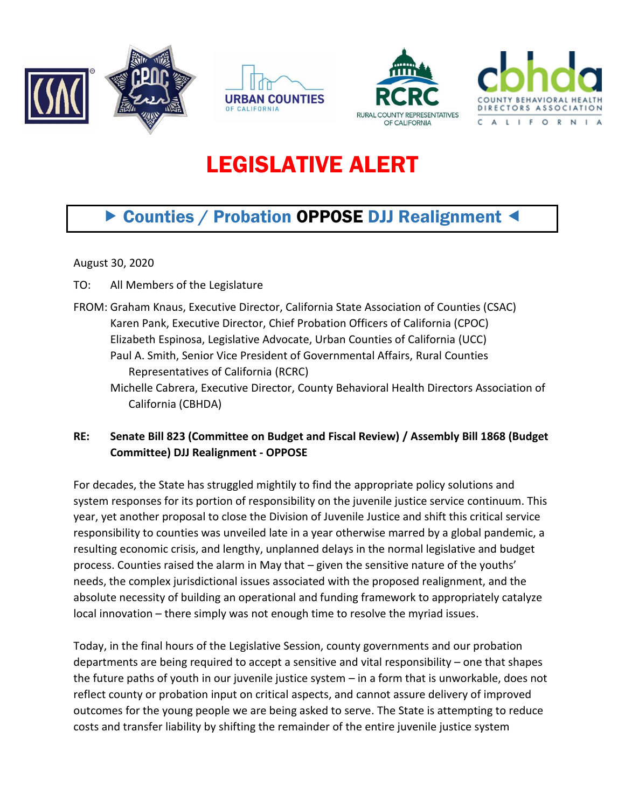





## LEGISLATIVE ALERT

## ▶ Counties / Probation OPPOSE DJJ Realignment <

August 30, 2020

- TO: All Members of the Legislature
- FROM: Graham Knaus, Executive Director, California State Association of Counties (CSAC) Karen Pank, Executive Director, Chief Probation Officers of California (CPOC) Elizabeth Espinosa, Legislative Advocate, Urban Counties of California (UCC) Paul A. Smith, Senior Vice President of Governmental Affairs, Rural Counties Representatives of California (RCRC)
	- Michelle Cabrera, Executive Director, County Behavioral Health Directors Association of California (CBHDA)
- **RE: Senate Bill 823 (Committee on Budget and Fiscal Review) / Assembly Bill 1868 (Budget Committee) DJJ Realignment - OPPOSE**

For decades, the State has struggled mightily to find the appropriate policy solutions and system responses for its portion of responsibility on the juvenile justice service continuum. This year, yet another proposal to close the Division of Juvenile Justice and shift this critical service responsibility to counties was unveiled late in a year otherwise marred by a global pandemic, a resulting economic crisis, and lengthy, unplanned delays in the normal legislative and budget process. Counties raised the alarm in May that – given the sensitive nature of the youths' needs, the complex jurisdictional issues associated with the proposed realignment, and the absolute necessity of building an operational and funding framework to appropriately catalyze local innovation – there simply was not enough time to resolve the myriad issues.

Today, in the final hours of the Legislative Session, county governments and our probation departments are being required to accept a sensitive and vital responsibility – one that shapes the future paths of youth in our juvenile justice system – in a form that is unworkable, does not reflect county or probation input on critical aspects, and cannot assure delivery of improved outcomes for the young people we are being asked to serve. The State is attempting to reduce costs and transfer liability by shifting the remainder of the entire juvenile justice system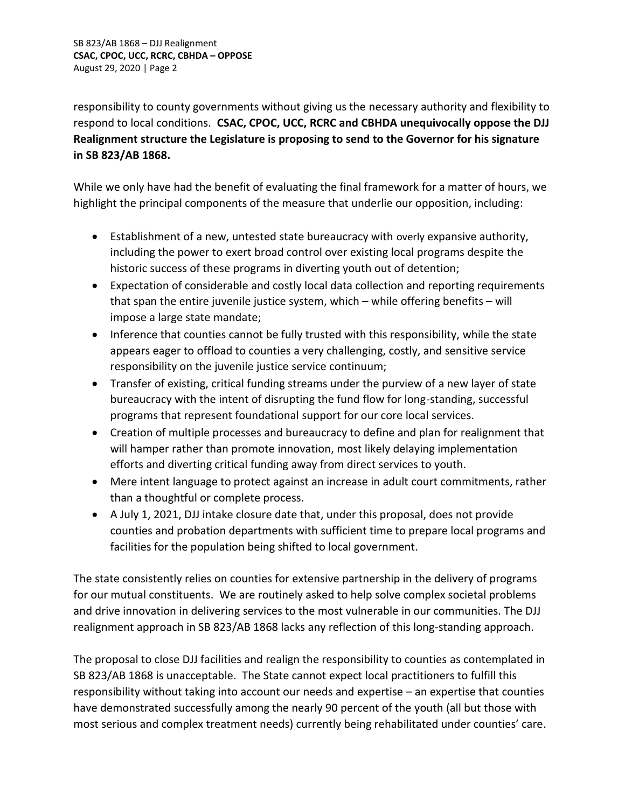responsibility to county governments without giving us the necessary authority and flexibility to respond to local conditions. **CSAC, CPOC, UCC, RCRC and CBHDA unequivocally oppose the DJJ Realignment structure the Legislature is proposing to send to the Governor for his signature in SB 823/AB 1868.**

While we only have had the benefit of evaluating the final framework for a matter of hours, we highlight the principal components of the measure that underlie our opposition, including:

- Establishment of a new, untested state bureaucracy with overly expansive authority, including the power to exert broad control over existing local programs despite the historic success of these programs in diverting youth out of detention;
- Expectation of considerable and costly local data collection and reporting requirements that span the entire juvenile justice system, which – while offering benefits – will impose a large state mandate;
- Inference that counties cannot be fully trusted with this responsibility, while the state appears eager to offload to counties a very challenging, costly, and sensitive service responsibility on the juvenile justice service continuum;
- Transfer of existing, critical funding streams under the purview of a new layer of state bureaucracy with the intent of disrupting the fund flow for long-standing, successful programs that represent foundational support for our core local services.
- Creation of multiple processes and bureaucracy to define and plan for realignment that will hamper rather than promote innovation, most likely delaying implementation efforts and diverting critical funding away from direct services to youth.
- Mere intent language to protect against an increase in adult court commitments, rather than a thoughtful or complete process.
- A July 1, 2021, DJJ intake closure date that, under this proposal, does not provide counties and probation departments with sufficient time to prepare local programs and facilities for the population being shifted to local government.

The state consistently relies on counties for extensive partnership in the delivery of programs for our mutual constituents. We are routinely asked to help solve complex societal problems and drive innovation in delivering services to the most vulnerable in our communities. The DJJ realignment approach in SB 823/AB 1868 lacks any reflection of this long-standing approach.

The proposal to close DJJ facilities and realign the responsibility to counties as contemplated in SB 823/AB 1868 is unacceptable. The State cannot expect local practitioners to fulfill this responsibility without taking into account our needs and expertise – an expertise that counties have demonstrated successfully among the nearly 90 percent of the youth (all but those with most serious and complex treatment needs) currently being rehabilitated under counties' care.